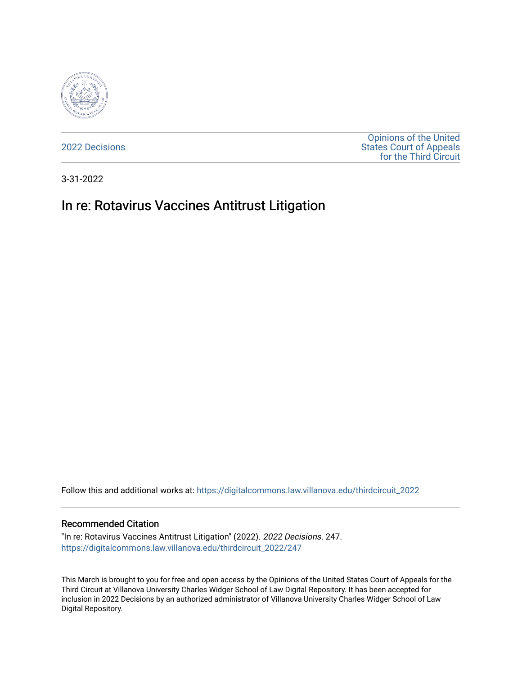

[2022 Decisions](https://digitalcommons.law.villanova.edu/thirdcircuit_2022)

[Opinions of the United](https://digitalcommons.law.villanova.edu/thirdcircuit)  [States Court of Appeals](https://digitalcommons.law.villanova.edu/thirdcircuit)  [for the Third Circuit](https://digitalcommons.law.villanova.edu/thirdcircuit) 

3-31-2022

# In re: Rotavirus Vaccines Antitrust Litigation

Follow this and additional works at: [https://digitalcommons.law.villanova.edu/thirdcircuit\\_2022](https://digitalcommons.law.villanova.edu/thirdcircuit_2022?utm_source=digitalcommons.law.villanova.edu%2Fthirdcircuit_2022%2F247&utm_medium=PDF&utm_campaign=PDFCoverPages) 

#### Recommended Citation

"In re: Rotavirus Vaccines Antitrust Litigation" (2022). 2022 Decisions. 247. [https://digitalcommons.law.villanova.edu/thirdcircuit\\_2022/247](https://digitalcommons.law.villanova.edu/thirdcircuit_2022/247?utm_source=digitalcommons.law.villanova.edu%2Fthirdcircuit_2022%2F247&utm_medium=PDF&utm_campaign=PDFCoverPages)

This March is brought to you for free and open access by the Opinions of the United States Court of Appeals for the Third Circuit at Villanova University Charles Widger School of Law Digital Repository. It has been accepted for inclusion in 2022 Decisions by an authorized administrator of Villanova University Charles Widger School of Law Digital Repository.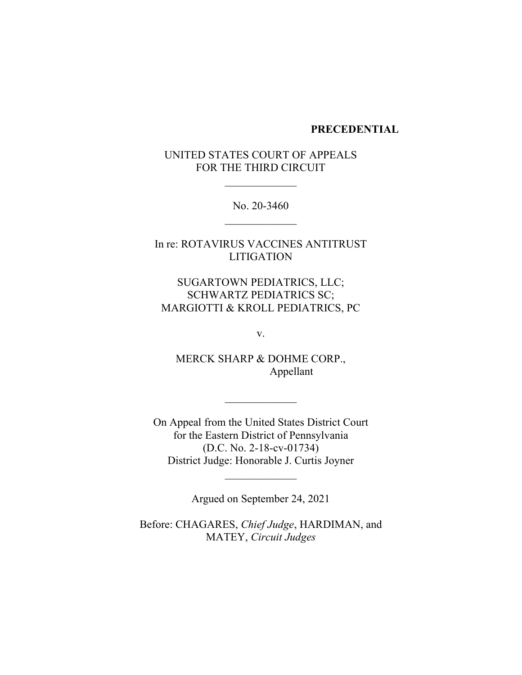#### **PRECEDENTIAL**

## UNITED STATES COURT OF APPEALS FOR THE THIRD CIRCUIT

 $\frac{1}{2}$ 

No. 20-3460  $\frac{1}{2}$ 

In re: ROTAVIRUS VACCINES ANTITRUST LITIGATION

SUGARTOWN PEDIATRICS, LLC; SCHWARTZ PEDIATRICS SC; MARGIOTTI & KROLL PEDIATRICS, PC

v.

MERCK SHARP & DOHME CORP., Appellant

 $\frac{1}{2}$ 

On Appeal from the United States District Court for the Eastern District of Pennsylvania (D.C. No. 2-18-cv-01734) District Judge: Honorable J. Curtis Joyner

Argued on September 24, 2021

 $\frac{1}{2}$ 

Before: CHAGARES, *Chief Judge*, HARDIMAN, and MATEY, *Circuit Judges*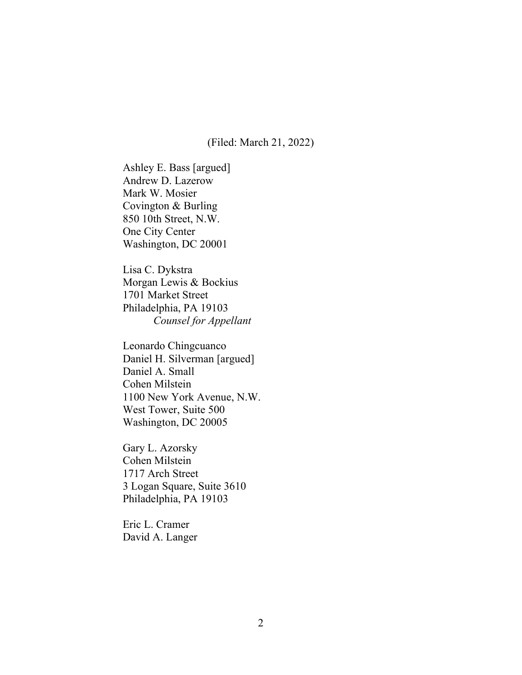(Filed: March 21, 2022)

Ashley E. Bass [argued] Andrew D. Lazerow Mark W. Mosier Covington & Burling 850 10th Street, N.W. One City Center Washington, DC 20001

Lisa C. Dykstra Morgan Lewis & Bockius 1701 Market Street Philadelphia, PA 19103 *Counsel for Appellant*

Leonardo Chingcuanco Daniel H. Silverman [argued] Daniel A. Small Cohen Milstein 1100 New York Avenue, N.W. West Tower, Suite 500 Washington, DC 20005

Gary L. Azorsky Cohen Milstein 1717 Arch Street 3 Logan Square, Suite 3610 Philadelphia, PA 19103

Eric L. Cramer David A. Langer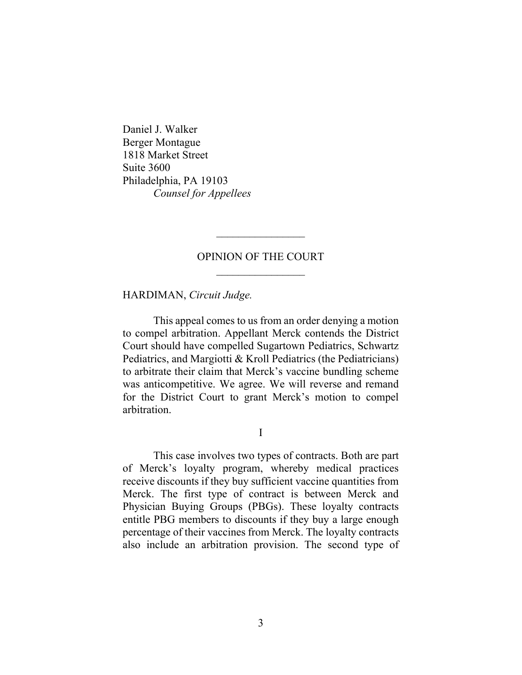Daniel J. Walker Berger Montague 1818 Market Street Suite 3600 Philadelphia, PA 19103 *Counsel for Appellees*

## OPINION OF THE COURT  $\frac{1}{2}$

 $\overline{\phantom{a}}$  , where  $\overline{\phantom{a}}$ 

HARDIMAN, *Circuit Judge.*

This appeal comes to us from an order denying a motion to compel arbitration. Appellant Merck contends the District Court should have compelled Sugartown Pediatrics, Schwartz Pediatrics, and Margiotti & Kroll Pediatrics (the Pediatricians) to arbitrate their claim that Merck's vaccine bundling scheme was anticompetitive. We agree. We will reverse and remand for the District Court to grant Merck's motion to compel arbitration.

I

This case involves two types of contracts. Both are part of Merck's loyalty program, whereby medical practices receive discounts if they buy sufficient vaccine quantities from Merck. The first type of contract is between Merck and Physician Buying Groups (PBGs). These loyalty contracts entitle PBG members to discounts if they buy a large enough percentage of their vaccines from Merck. The loyalty contracts also include an arbitration provision. The second type of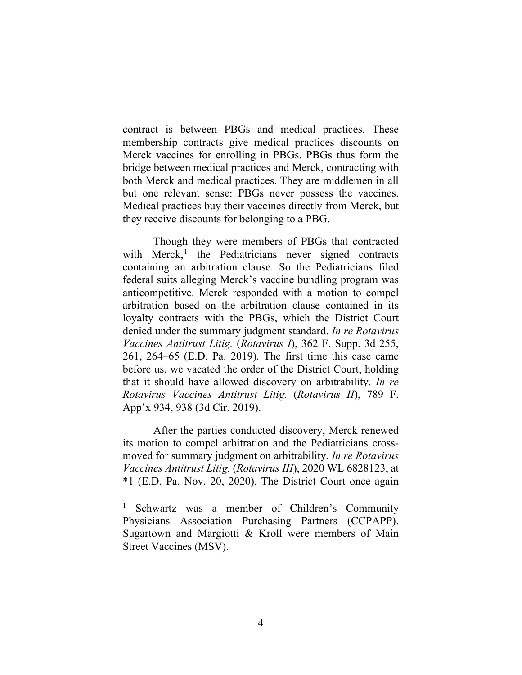contract is between PBGs and medical practices. These membership contracts give medical practices discounts on Merck vaccines for enrolling in PBGs. PBGs thus form the bridge between medical practices and Merck, contracting with both Merck and medical practices. They are middlemen in all but one relevant sense: PBGs never possess the vaccines. Medical practices buy their vaccines directly from Merck, but they receive discounts for belonging to a PBG.

Though they were members of PBGs that contracted with Merck, [1](#page-4-0) the Pediatricians never signed contracts containing an arbitration clause. So the Pediatricians filed federal suits alleging Merck's vaccine bundling program was anticompetitive. Merck responded with a motion to compel arbitration based on the arbitration clause contained in its loyalty contracts with the PBGs, which the District Court denied under the summary judgment standard. *In re Rotavirus Vaccines Antitrust Litig.* (*Rotavirus I*), 362 F. Supp. 3d 255, 261, 264–65 (E.D. Pa. 2019). The first time this case came before us, we vacated the order of the District Court, holding that it should have allowed discovery on arbitrability. *In re Rotavirus Vaccines Antitrust Litig.* (*Rotavirus II*), 789 F. App'x 934, 938 (3d Cir. 2019).

After the parties conducted discovery, Merck renewed its motion to compel arbitration and the Pediatricians crossmoved for summary judgment on arbitrability. *In re Rotavirus Vaccines Antitrust Litig.* (*Rotavirus III*), 2020 WL 6828123, at \*1 (E.D. Pa. Nov. 20, 2020). The District Court once again

<span id="page-4-0"></span><sup>1</sup> Schwartz was a member of Children's Community Physicians Association Purchasing Partners (CCPAPP). Sugartown and Margiotti & Kroll were members of Main Street Vaccines (MSV).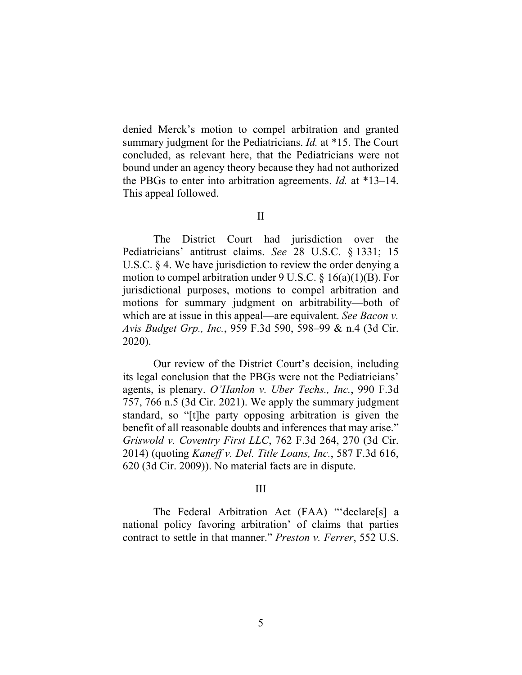denied Merck's motion to compel arbitration and granted summary judgment for the Pediatricians. *Id.* at \*15. The Court concluded, as relevant here, that the Pediatricians were not bound under an agency theory because they had not authorized the PBGs to enter into arbitration agreements. *Id.* at \*13–14. This appeal followed.

The District Court had jurisdiction over the Pediatricians' antitrust claims. *See* 28 U.S.C. § 1331; 15 U.S.C. § 4. We have jurisdiction to review the order denying a motion to compel arbitration under 9 U.S.C. § 16(a)(1)(B). For jurisdictional purposes, motions to compel arbitration and motions for summary judgment on arbitrability—both of which are at issue in this appeal—are equivalent. *See Bacon v. Avis Budget Grp., Inc.*, 959 F.3d 590, 598–99 & n.4 (3d Cir. 2020).

Our review of the District Court's decision, including its legal conclusion that the PBGs were not the Pediatricians' agents, is plenary. *O'Hanlon v. Uber Techs., Inc.*, 990 F.3d 757, 766 n.5 (3d Cir. 2021). We apply the summary judgment standard, so "[t]he party opposing arbitration is given the benefit of all reasonable doubts and inferences that may arise." *Griswold v. Coventry First LLC*, 762 F.3d 264, 270 (3d Cir. 2014) (quoting *Kaneff v. Del. Title Loans, Inc.*, 587 F.3d 616, 620 (3d Cir. 2009)). No material facts are in dispute.

#### III

The Federal Arbitration Act (FAA) "'declare[s] a national policy favoring arbitration' of claims that parties contract to settle in that manner." *Preston v. Ferrer*, 552 U.S.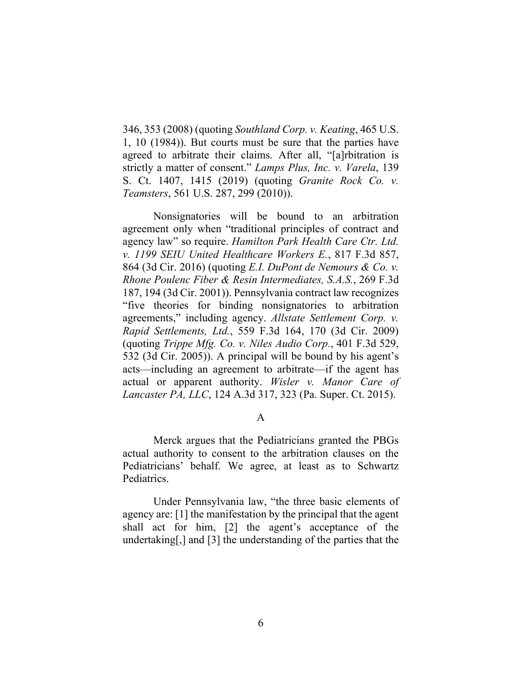346, 353 (2008) (quoting *Southland Corp. v. Keating*, 465 U.S. 1, 10 (1984)). But courts must be sure that the parties have agreed to arbitrate their claims. After all, "[a]rbitration is strictly a matter of consent." *Lamps Plus, Inc. v. Varela*, 139 S. Ct. 1407, 1415 (2019) (quoting *Granite Rock Co. v. Teamsters*, 561 U.S. 287, 299 (2010)).

Nonsignatories will be bound to an arbitration agreement only when "traditional principles of contract and agency law" so require. *Hamilton Park Health Care Ctr. Ltd. v. 1199 SEIU United Healthcare Workers E.*, 817 F.3d 857, 864 (3d Cir. 2016) (quoting *E.I. DuPont de Nemours & Co. v. Rhone Poulenc Fiber & Resin Intermediates, S.A.S.*, 269 F.3d 187, 194 (3d Cir. 2001)). Pennsylvania contract law recognizes "five theories for binding nonsignatories to arbitration agreements," including agency. *Allstate Settlement Corp. v. Rapid Settlements, Ltd.*, 559 F.3d 164, 170 (3d Cir. 2009) (quoting *Trippe Mfg. Co. v. Niles Audio Corp.*, 401 F.3d 529, 532 (3d Cir. 2005)). A principal will be bound by his agent's acts—including an agreement to arbitrate—if the agent has actual or apparent authority. *Wisler v. Manor Care of Lancaster PA, LLC*, 124 A.3d 317, 323 (Pa. Super. Ct. 2015).

### A

Merck argues that the Pediatricians granted the PBGs actual authority to consent to the arbitration clauses on the Pediatricians' behalf. We agree, at least as to Schwartz Pediatrics.

Under Pennsylvania law, "the three basic elements of agency are: [1] the manifestation by the principal that the agent shall act for him, [2] the agent's acceptance of the undertaking[,] and [3] the understanding of the parties that the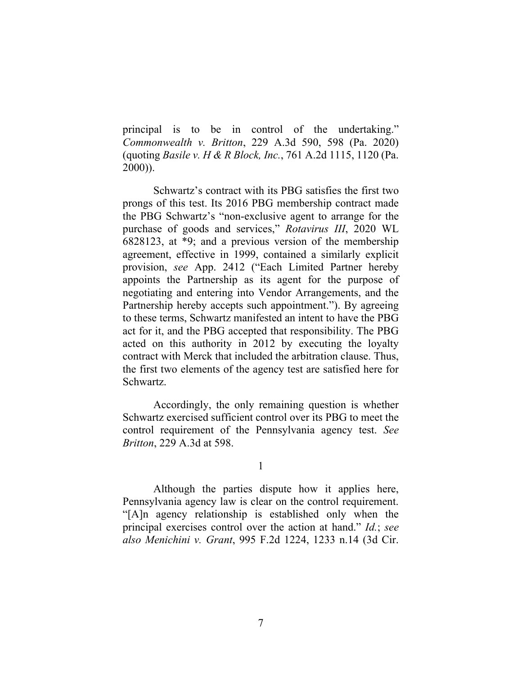principal is to be in control of the undertaking." *Commonwealth v. Britton*, 229 A.3d 590, 598 (Pa. 2020) (quoting *Basile v. H & R Block, Inc.*, 761 A.2d 1115, 1120 (Pa. 2000)).

Schwartz's contract with its PBG satisfies the first two prongs of this test. Its 2016 PBG membership contract made the PBG Schwartz's "non-exclusive agent to arrange for the purchase of goods and services," *Rotavirus III*, 2020 WL 6828123, at \*9; and a previous version of the membership agreement, effective in 1999, contained a similarly explicit provision, *see* App. 2412 ("Each Limited Partner hereby appoints the Partnership as its agent for the purpose of negotiating and entering into Vendor Arrangements, and the Partnership hereby accepts such appointment."). By agreeing to these terms, Schwartz manifested an intent to have the PBG act for it, and the PBG accepted that responsibility. The PBG acted on this authority in 2012 by executing the loyalty contract with Merck that included the arbitration clause. Thus, the first two elements of the agency test are satisfied here for Schwartz.

Accordingly, the only remaining question is whether Schwartz exercised sufficient control over its PBG to meet the control requirement of the Pennsylvania agency test. *See Britton*, 229 A.3d at 598.

1

Although the parties dispute how it applies here, Pennsylvania agency law is clear on the control requirement. "[A]n agency relationship is established only when the principal exercises control over the action at hand." *Id.*; *see also Menichini v. Grant*, 995 F.2d 1224, 1233 n.14 (3d Cir.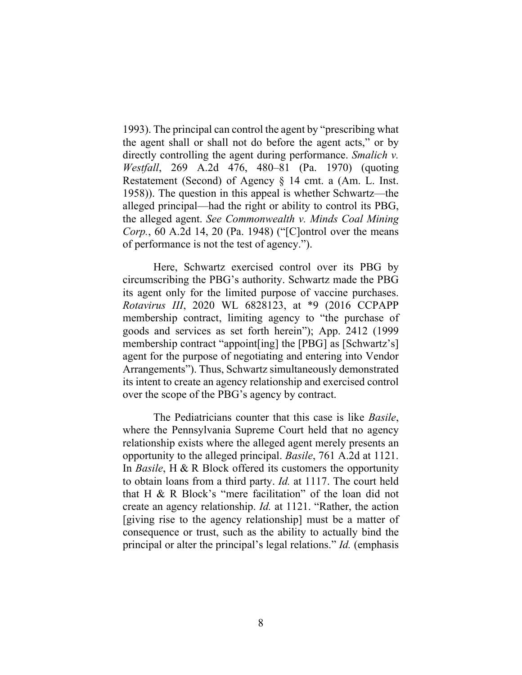1993). The principal can control the agent by "prescribing what the agent shall or shall not do before the agent acts," or by directly controlling the agent during performance. *Smalich v. Westfall*, 269 A.2d 476, 480–81 (Pa. 1970) (quoting Restatement (Second) of Agency § 14 cmt. a (Am. L. Inst. 1958)). The question in this appeal is whether Schwartz—the alleged principal—had the right or ability to control its PBG, the alleged agent. *See Commonwealth v. Minds Coal Mining Corp.*, 60 A.2d 14, 20 (Pa. 1948) ("[C]ontrol over the means of performance is not the test of agency.").

Here, Schwartz exercised control over its PBG by circumscribing the PBG's authority. Schwartz made the PBG its agent only for the limited purpose of vaccine purchases. *Rotavirus III*, 2020 WL 6828123, at \*9 (2016 CCPAPP membership contract, limiting agency to "the purchase of goods and services as set forth herein"); App. 2412 (1999 membership contract "appoint[ing] the [PBG] as [Schwartz's] agent for the purpose of negotiating and entering into Vendor Arrangements"). Thus, Schwartz simultaneously demonstrated its intent to create an agency relationship and exercised control over the scope of the PBG's agency by contract.

The Pediatricians counter that this case is like *Basile*, where the Pennsylvania Supreme Court held that no agency relationship exists where the alleged agent merely presents an opportunity to the alleged principal. *Basile*, 761 A.2d at 1121. In *Basile*, H & R Block offered its customers the opportunity to obtain loans from a third party. *Id.* at 1117. The court held that H & R Block's "mere facilitation" of the loan did not create an agency relationship. *Id.* at 1121. "Rather, the action [giving rise to the agency relationship] must be a matter of consequence or trust, such as the ability to actually bind the principal or alter the principal's legal relations." *Id.* (emphasis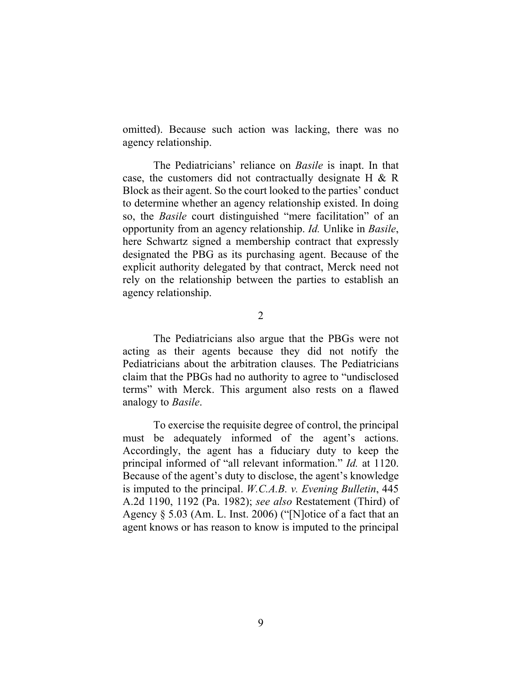omitted). Because such action was lacking, there was no agency relationship.

The Pediatricians' reliance on *Basile* is inapt. In that case, the customers did not contractually designate H & R Block as their agent. So the court looked to the parties' conduct to determine whether an agency relationship existed. In doing so, the *Basile* court distinguished "mere facilitation" of an opportunity from an agency relationship. *Id.* Unlike in *Basile*, here Schwartz signed a membership contract that expressly designated the PBG as its purchasing agent. Because of the explicit authority delegated by that contract, Merck need not rely on the relationship between the parties to establish an agency relationship.

 $\overline{2}$ 

The Pediatricians also argue that the PBGs were not acting as their agents because they did not notify the Pediatricians about the arbitration clauses. The Pediatricians claim that the PBGs had no authority to agree to "undisclosed terms" with Merck. This argument also rests on a flawed analogy to *Basile*.

To exercise the requisite degree of control, the principal must be adequately informed of the agent's actions. Accordingly, the agent has a fiduciary duty to keep the principal informed of "all relevant information." *Id.* at 1120. Because of the agent's duty to disclose, the agent's knowledge is imputed to the principal. *W.C.A.B. v. Evening Bulletin*, 445 A.2d 1190, 1192 (Pa. 1982); *see also* Restatement (Third) of Agency § 5.03 (Am. L. Inst. 2006) ("[N]otice of a fact that an agent knows or has reason to know is imputed to the principal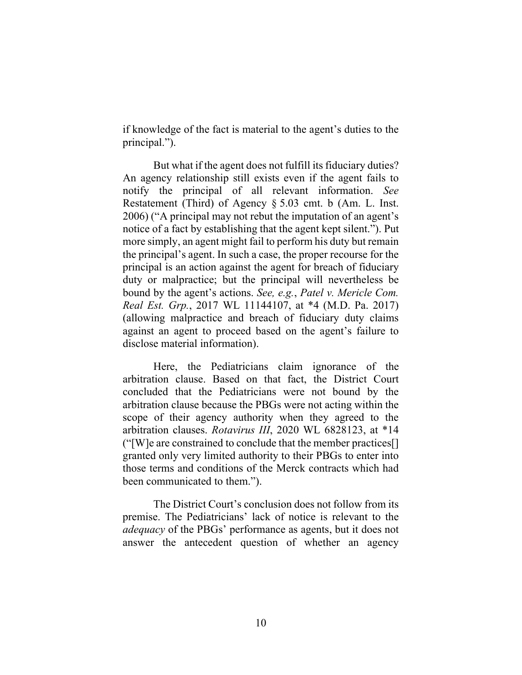if knowledge of the fact is material to the agent's duties to the principal.").

But what if the agent does not fulfill its fiduciary duties? An agency relationship still exists even if the agent fails to notify the principal of all relevant information. *See*  Restatement (Third) of Agency § 5.03 cmt. b (Am. L. Inst. 2006) ("A principal may not rebut the imputation of an agent's notice of a fact by establishing that the agent kept silent."). Put more simply, an agent might fail to perform his duty but remain the principal's agent. In such a case, the proper recourse for the principal is an action against the agent for breach of fiduciary duty or malpractice; but the principal will nevertheless be bound by the agent's actions. *See, e.g.*, *Patel v. Mericle Com. Real Est. Grp.*, 2017 WL 11144107, at \*4 (M.D. Pa. 2017) (allowing malpractice and breach of fiduciary duty claims against an agent to proceed based on the agent's failure to disclose material information).

Here, the Pediatricians claim ignorance of the arbitration clause. Based on that fact, the District Court concluded that the Pediatricians were not bound by the arbitration clause because the PBGs were not acting within the scope of their agency authority when they agreed to the arbitration clauses. *Rotavirus III*, 2020 WL 6828123, at \*14 ("[W]e are constrained to conclude that the member practices[] granted only very limited authority to their PBGs to enter into those terms and conditions of the Merck contracts which had been communicated to them.").

The District Court's conclusion does not follow from its premise. The Pediatricians' lack of notice is relevant to the *adequacy* of the PBGs' performance as agents, but it does not answer the antecedent question of whether an agency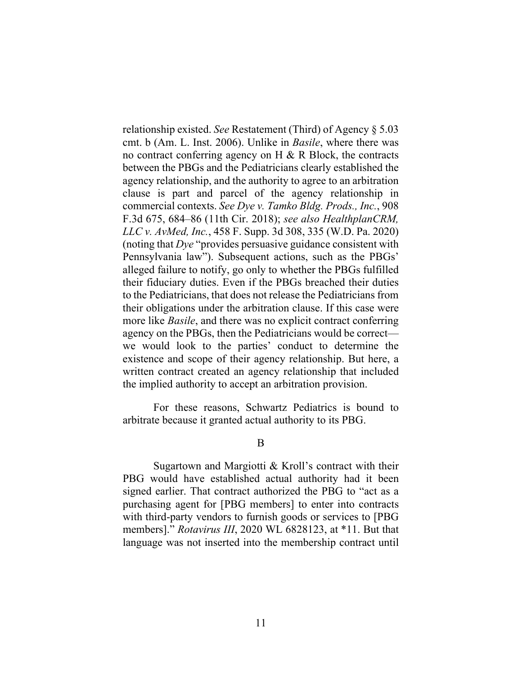relationship existed. *See* Restatement (Third) of Agency § 5.03 cmt. b (Am. L. Inst. 2006). Unlike in *Basile*, where there was no contract conferring agency on  $H \& R$  Block, the contracts between the PBGs and the Pediatricians clearly established the agency relationship, and the authority to agree to an arbitration clause is part and parcel of the agency relationship in commercial contexts. *See Dye v. Tamko Bldg. Prods., Inc.*, 908 F.3d 675, 684–86 (11th Cir. 2018); *see also HealthplanCRM, LLC v. AvMed, Inc.*, 458 F. Supp. 3d 308, 335 (W.D. Pa. 2020) (noting that *Dye* "provides persuasive guidance consistent with Pennsylvania law"). Subsequent actions, such as the PBGs' alleged failure to notify, go only to whether the PBGs fulfilled their fiduciary duties. Even if the PBGs breached their duties to the Pediatricians, that does not release the Pediatricians from their obligations under the arbitration clause. If this case were more like *Basile*, and there was no explicit contract conferring agency on the PBGs, then the Pediatricians would be correct we would look to the parties' conduct to determine the existence and scope of their agency relationship. But here, a written contract created an agency relationship that included the implied authority to accept an arbitration provision.

For these reasons, Schwartz Pediatrics is bound to arbitrate because it granted actual authority to its PBG.

B

Sugartown and Margiotti & Kroll's contract with their PBG would have established actual authority had it been signed earlier. That contract authorized the PBG to "act as a purchasing agent for [PBG members] to enter into contracts with third-party vendors to furnish goods or services to [PBG members]." *Rotavirus III*, 2020 WL 6828123, at \*11. But that language was not inserted into the membership contract until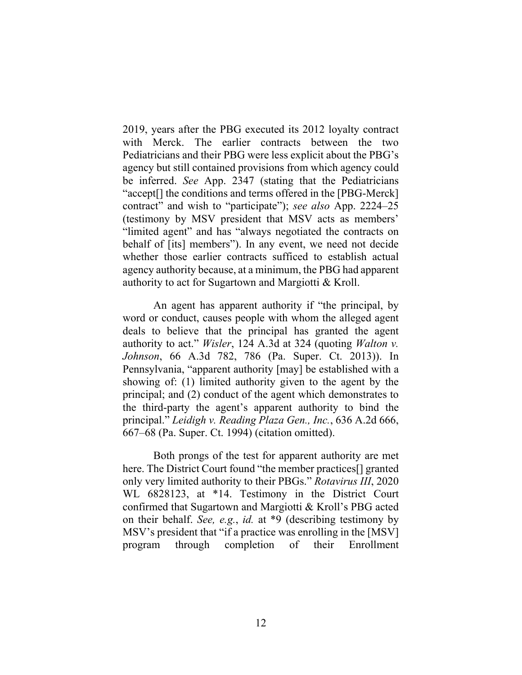2019, years after the PBG executed its 2012 loyalty contract with Merck. The earlier contracts between the two Pediatricians and their PBG were less explicit about the PBG's agency but still contained provisions from which agency could be inferred. *See* App. 2347 (stating that the Pediatricians "accept[] the conditions and terms offered in the [PBG-Merck] contract" and wish to "participate"); *see also* App. 2224–25 (testimony by MSV president that MSV acts as members' "limited agent" and has "always negotiated the contracts on behalf of [its] members"). In any event, we need not decide whether those earlier contracts sufficed to establish actual agency authority because, at a minimum, the PBG had apparent authority to act for Sugartown and Margiotti & Kroll.

An agent has apparent authority if "the principal, by word or conduct, causes people with whom the alleged agent deals to believe that the principal has granted the agent authority to act." *Wisler*, 124 A.3d at 324 (quoting *Walton v. Johnson*, 66 A.3d 782, 786 (Pa. Super. Ct. 2013)). In Pennsylvania, "apparent authority [may] be established with a showing of: (1) limited authority given to the agent by the principal; and (2) conduct of the agent which demonstrates to the third-party the agent's apparent authority to bind the principal." *Leidigh v. Reading Plaza Gen., Inc.*, 636 A.2d 666, 667–68 (Pa. Super. Ct. 1994) (citation omitted).

Both prongs of the test for apparent authority are met here. The District Court found "the member practices<sup>[]</sup> granted only very limited authority to their PBGs." *Rotavirus III*, 2020 WL 6828123, at \*14. Testimony in the District Court confirmed that Sugartown and Margiotti & Kroll's PBG acted on their behalf. *See, e.g.*, *id.* at \*9 (describing testimony by MSV's president that "if a practice was enrolling in the [MSV] program through completion of their Enrollment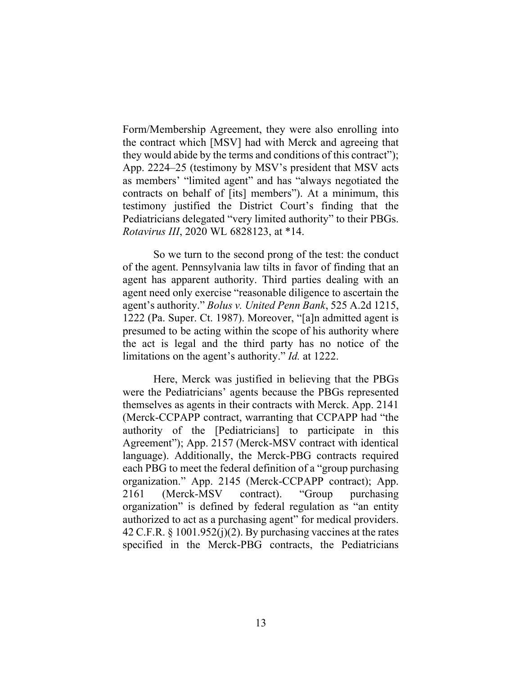Form/Membership Agreement, they were also enrolling into the contract which [MSV] had with Merck and agreeing that they would abide by the terms and conditions of this contract"); App. 2224–25 (testimony by MSV's president that MSV acts as members' "limited agent" and has "always negotiated the contracts on behalf of [its] members"). At a minimum, this testimony justified the District Court's finding that the Pediatricians delegated "very limited authority" to their PBGs. *Rotavirus III*, 2020 WL 6828123, at \*14.

So we turn to the second prong of the test: the conduct of the agent. Pennsylvania law tilts in favor of finding that an agent has apparent authority. Third parties dealing with an agent need only exercise "reasonable diligence to ascertain the agent's authority." *Bolus v. United Penn Bank*, 525 A.2d 1215, 1222 (Pa. Super. Ct. 1987). Moreover, "[a]n admitted agent is presumed to be acting within the scope of his authority where the act is legal and the third party has no notice of the limitations on the agent's authority." *Id.* at 1222.

Here, Merck was justified in believing that the PBGs were the Pediatricians' agents because the PBGs represented themselves as agents in their contracts with Merck. App. 2141 (Merck-CCPAPP contract, warranting that CCPAPP had "the authority of the [Pediatricians] to participate in this Agreement"); App. 2157 (Merck-MSV contract with identical language). Additionally, the Merck-PBG contracts required each PBG to meet the federal definition of a "group purchasing organization." App. 2145 (Merck-CCPAPP contract); App. 2161 (Merck-MSV contract). "Group purchasing organization" is defined by federal regulation as "an entity authorized to act as a purchasing agent" for medical providers. 42 C.F.R.  $\S$  1001.952(j)(2). By purchasing vaccines at the rates specified in the Merck-PBG contracts, the Pediatricians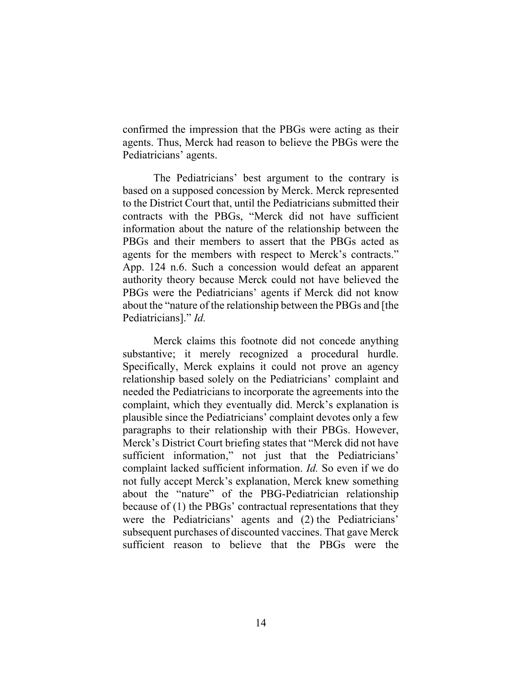confirmed the impression that the PBGs were acting as their agents. Thus, Merck had reason to believe the PBGs were the Pediatricians' agents.

The Pediatricians' best argument to the contrary is based on a supposed concession by Merck. Merck represented to the District Court that, until the Pediatricians submitted their contracts with the PBGs, "Merck did not have sufficient information about the nature of the relationship between the PBGs and their members to assert that the PBGs acted as agents for the members with respect to Merck's contracts." App. 124 n.6. Such a concession would defeat an apparent authority theory because Merck could not have believed the PBGs were the Pediatricians' agents if Merck did not know about the "nature of the relationship between the PBGs and [the Pediatricians]." *Id.* 

Merck claims this footnote did not concede anything substantive; it merely recognized a procedural hurdle. Specifically, Merck explains it could not prove an agency relationship based solely on the Pediatricians' complaint and needed the Pediatricians to incorporate the agreements into the complaint, which they eventually did. Merck's explanation is plausible since the Pediatricians' complaint devotes only a few paragraphs to their relationship with their PBGs. However, Merck's District Court briefing states that "Merck did not have sufficient information," not just that the Pediatricians' complaint lacked sufficient information. *Id.* So even if we do not fully accept Merck's explanation, Merck knew something about the "nature" of the PBG-Pediatrician relationship because of (1) the PBGs' contractual representations that they were the Pediatricians' agents and (2) the Pediatricians' subsequent purchases of discounted vaccines. That gave Merck sufficient reason to believe that the PBGs were the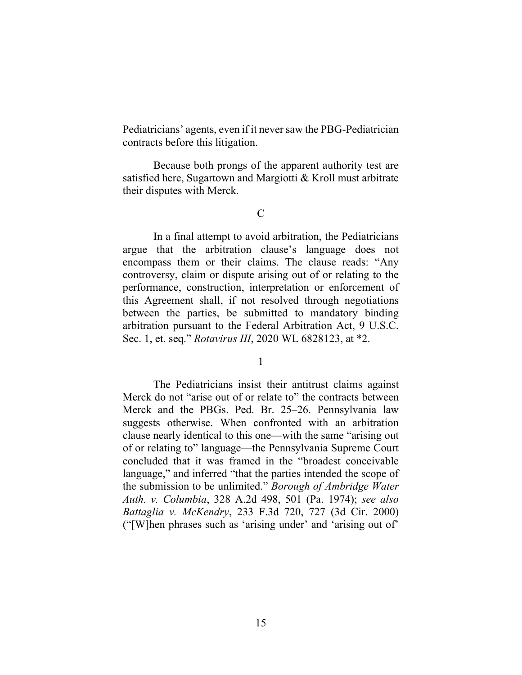Pediatricians' agents, even if it never saw the PBG-Pediatrician contracts before this litigation.

Because both prongs of the apparent authority test are satisfied here, Sugartown and Margiotti & Kroll must arbitrate their disputes with Merck.

 $\mathcal{C}$ 

In a final attempt to avoid arbitration, the Pediatricians argue that the arbitration clause's language does not encompass them or their claims. The clause reads: "Any controversy, claim or dispute arising out of or relating to the performance, construction, interpretation or enforcement of this Agreement shall, if not resolved through negotiations between the parties, be submitted to mandatory binding arbitration pursuant to the Federal Arbitration Act, 9 U.S.C. Sec. 1, et. seq." *Rotavirus III*, 2020 WL 6828123, at \*2.

1

The Pediatricians insist their antitrust claims against Merck do not "arise out of or relate to" the contracts between Merck and the PBGs. Ped. Br. 25–26. Pennsylvania law suggests otherwise. When confronted with an arbitration clause nearly identical to this one—with the same "arising out of or relating to" language—the Pennsylvania Supreme Court concluded that it was framed in the "broadest conceivable language," and inferred "that the parties intended the scope of the submission to be unlimited." *Borough of Ambridge Water Auth. v. Columbia*, 328 A.2d 498, 501 (Pa. 1974); *see also Battaglia v. McKendry*, 233 F.3d 720, 727 (3d Cir. 2000) ("[W]hen phrases such as 'arising under' and 'arising out of'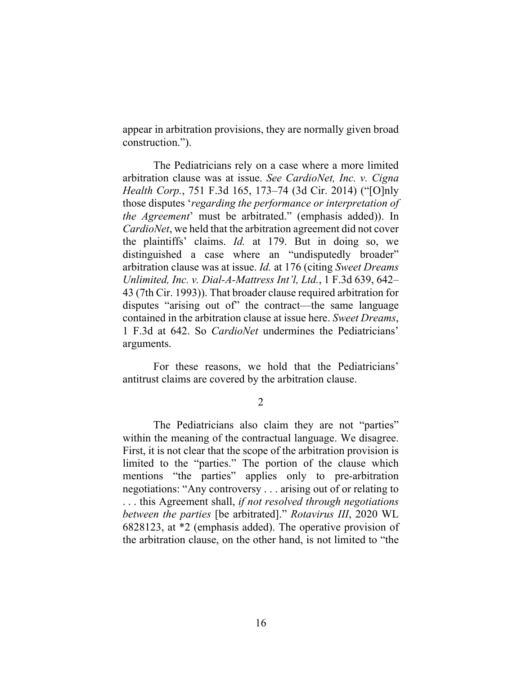appear in arbitration provisions, they are normally given broad construction.").

The Pediatricians rely on a case where a more limited arbitration clause was at issue. *See CardioNet, Inc. v. Cigna Health Corp.*, 751 F.3d 165, 173–74 (3d Cir. 2014) ("[O]nly those disputes '*regarding the performance or interpretation of the Agreement*' must be arbitrated." (emphasis added)). In *CardioNet*, we held that the arbitration agreement did not cover the plaintiffs' claims. *Id.* at 179. But in doing so, we distinguished a case where an "undisputedly broader" arbitration clause was at issue. *Id.* at 176 (citing *Sweet Dreams Unlimited, Inc. v. Dial-A-Mattress Int'l, Ltd.*, 1 F.3d 639, 642– 43 (7th Cir. 1993)). That broader clause required arbitration for disputes "arising out of" the contract—the same language contained in the arbitration clause at issue here. *Sweet Dreams*, 1 F.3d at 642. So *CardioNet* undermines the Pediatricians' arguments.

For these reasons, we hold that the Pediatricians' antitrust claims are covered by the arbitration clause.

2

The Pediatricians also claim they are not "parties" within the meaning of the contractual language. We disagree. First, it is not clear that the scope of the arbitration provision is limited to the "parties." The portion of the clause which mentions "the parties" applies only to pre-arbitration negotiations: "Any controversy . . . arising out of or relating to . . . this Agreement shall, *if not resolved through negotiations between the parties* [be arbitrated]." *Rotavirus III*, 2020 WL 6828123, at \*2 (emphasis added). The operative provision of the arbitration clause, on the other hand, is not limited to "the